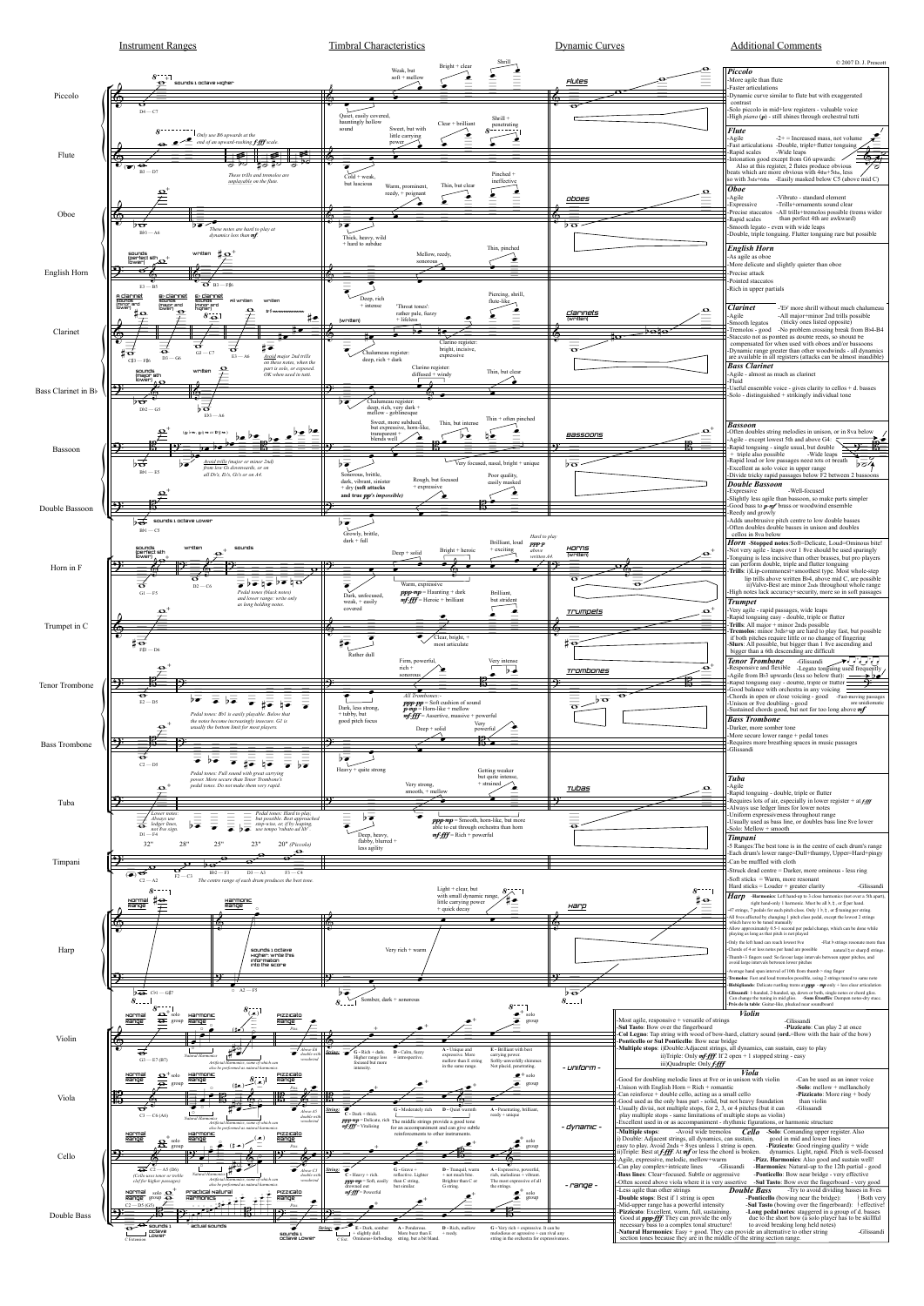